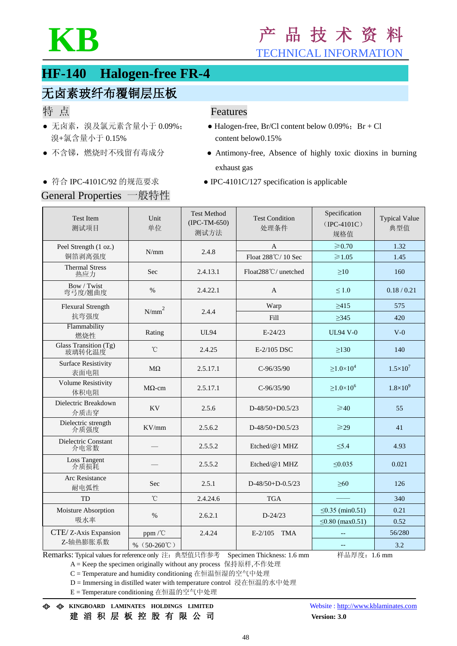

# **HF-140 Halogen-free FR-4**

## 无卤素玻纤布覆铜层压板

- 溴+氯含量小于 0.15% content below0.15%
- 

## 特点 **Features**

- 无卤素, 溴及氯元素含量小于 0.09%; Halogen-free, Br/Cl content below 0.09%; Br + Cl
- 不含锑, 燃烧时不残留有毒成分 → Antimony-free, Absence of highly toxic dioxins in burning exhaust gas
- 符合 IPC-4101C/92 的规范要求 IPC-4101C/127 specification is applicable

## General Properties 一般特性

| <b>Test Item</b><br>测试项目           | Unit<br>单位                   | <b>Test Method</b><br>$(IPC-TM-650)$<br>测试方法 | <b>Test Condition</b><br>处理条件 | Specification<br>$(IPC-4101C)$<br>规格值 | <b>Typical Value</b><br>典型值 |
|------------------------------------|------------------------------|----------------------------------------------|-------------------------------|---------------------------------------|-----------------------------|
| Peel Strength (1 oz.)<br>铜箔剥离强度    | N/mm                         | 2.4.8                                        | $\mathbf{A}$                  | $\geqslant 0.70$                      | 1.32                        |
|                                    |                              |                                              | Float 288°C/10 Sec            | $\geq 1.05$                           | 1.45                        |
| <b>Thermal Stress</b><br>热应力       | Sec                          | 2.4.13.1                                     | Float288°C/ unetched          | $\geq 10$                             | 160                         |
| Bow / Twist<br>弯弓度/翘曲度             | $\%$                         | 2.4.22.1                                     | A                             | $\leq 1.0$                            | 0.18 / 0.21                 |
| <b>Flexural Strength</b>           | $N/mm^2$                     | 2.4.4                                        | Warp                          | $\geq 415$                            | 575                         |
| 抗弯强度                               |                              |                                              | Fill                          | $\geq$ 345                            | 420                         |
| Flammability<br>燃烧性                | Rating                       | <b>UL94</b>                                  | $E-24/23$                     | <b>UL94 V-0</b>                       | $V-0$                       |
| Glass Transition (Tg)<br>玻璃转化温度    | $^\circ\!{\rm C}$            | 2.4.25                                       | E-2/105 DSC                   | >130                                  | 140                         |
| <b>Surface Resistivity</b><br>表面电阻 | $M\Omega$                    | 2.5.17.1                                     | $C-96/35/90$                  | $\geq 1.0 \times 10^4$                | $1.5 \times 10^{7}$         |
| <b>Volume Resistivity</b><br>体积电阻  | $M\Omega$ -cm                | 2.5.17.1                                     | $C-96/35/90$                  | $\geq 1.0 \times 10^6$                | $1.8\times10^{9}$           |
| Dielectric Breakdown<br>介质击穿       | <b>KV</b>                    | 2.5.6                                        | $D-48/50+D0.5/23$             | $\geq 40$                             | 55                          |
| Dielectric strength<br>介质强度        | KV/mm                        | 2.5.6.2                                      | $D-48/50+D0.5/23$             | $\geqslant$ 29                        | 41                          |
| Dielectric Constant<br>介电常数        |                              | 2.5.5.2                                      | Etched/@1 MHZ                 | $\leq 5.4$                            | 4.93                        |
| Loss Tangent<br>介质损耗               |                              | 2.5.5.2                                      | Etched/@1 MHZ                 | $\leq 0.035$                          | 0.021                       |
| Arc Resistance<br>耐电弧性             | <b>Sec</b>                   | 2.5.1                                        | $D-48/50+D-0.5/23$            | $\geq 60$                             | 126                         |
| <b>TD</b>                          | $\rm ^{\circ}C$              | 2.4.24.6                                     | <b>TGA</b>                    |                                       | 340                         |
| Moisture Absorption<br>吸水率         | $\%$                         | 2.6.2.1                                      | $D - 24/23$                   | ≤0.35 (min0.51)                       | 0.21                        |
|                                    |                              |                                              |                               | $\leq 0.80$ (max $0.51$ )             | 0.52                        |
| CTE/ Z-Axis Expansion<br>Z-轴热膨胀系数  | ppm/°C                       | 2.4.24                                       | $E-2/105$<br><b>TMA</b>       |                                       | 56/280                      |
|                                    | % $(50-260^{\circ}\text{C})$ |                                              |                               | $\qquad \qquad -$                     | 3.2                         |

Remarks: Typical values for reference only 注: 典型值只作参考 Specimen Thickness: 1.6 mm # 样品厚度: 1.6 mm

A = Keep the specimen originally without any process 保持原样,不作处理

C = Temperature and humidity conditioning 在恒温恒湿的空气中处理

D = Immersing in distilled water with temperature control 浸在恒温的水中处理

E = Temperature conditioning 在恒温的空气中处理

**KINGBOARD LAMINATES HOLDINGS LIMITED** Website [: http://www.kblaminates.com](http://www.kblaminates.com/) 建 滔 积 层 板 控 股 有 限 公 司 **Version: 3.0**